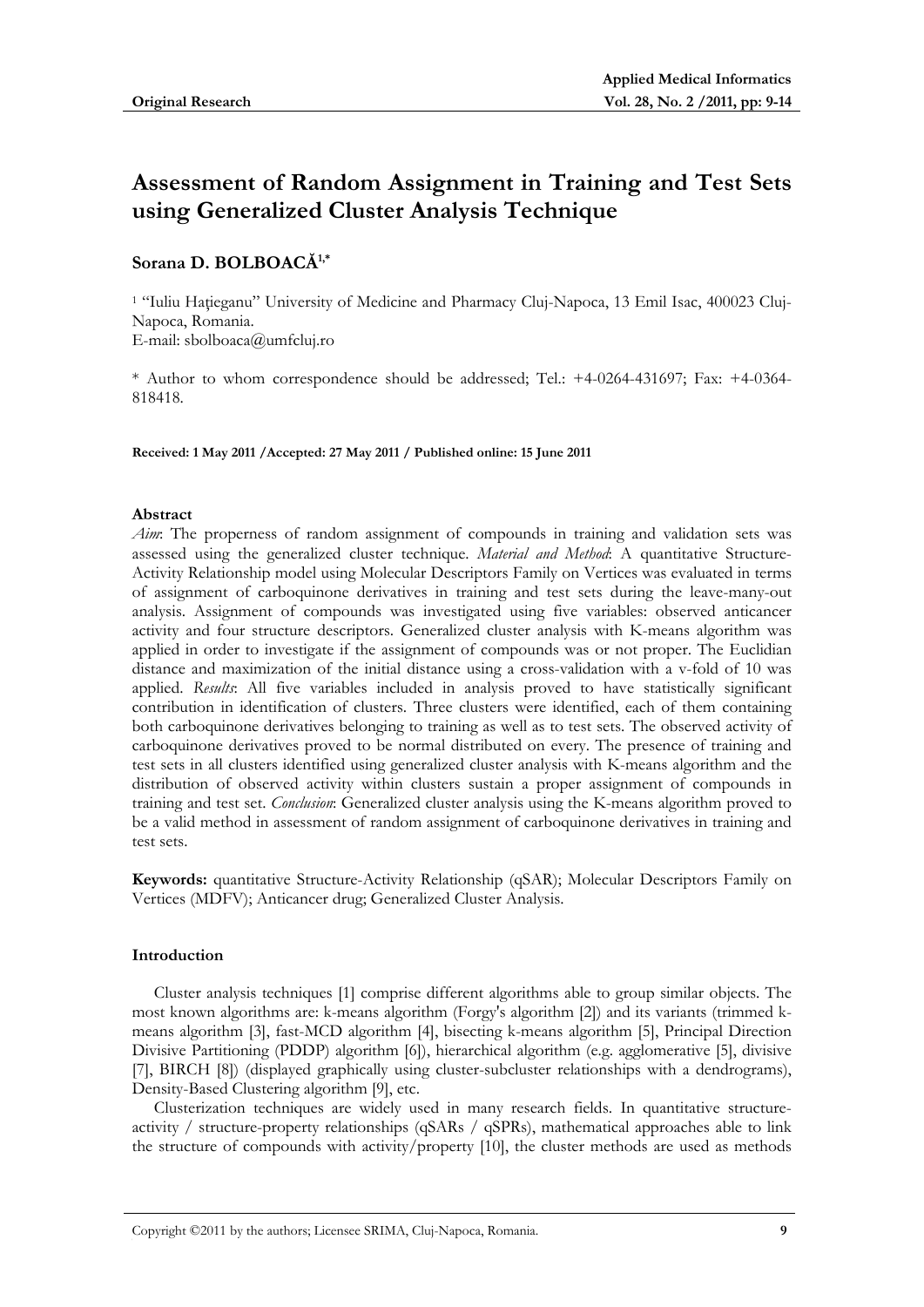# **Assessment of Random Assignment in Training and Test Sets using Generalized Cluster Analysis Technique**

# **Sorana D. BOLBOACĂ1,\***

<sup>1</sup> "Iuliu Hațieganu" University of Medicine and Pharmacy Cluj-Napoca, 13 Emil Isac, 400023 Cluj-Napoca, Romania. E-mail: sbolboaca@umfcluj.ro

\* Author to whom correspondence should be addressed; Tel.: +4-0264-431697; Fax: +4-0364- 818418.

**Received: 1 May 2011 /Accepted: 27 May 2011 / Published online: 15 June 2011** 

## **Abstract**

*Aim*: The properness of random assignment of compounds in training and validation sets was assessed using the generalized cluster technique. *Material and Method*: A quantitative Structure-Activity Relationship model using Molecular Descriptors Family on Vertices was evaluated in terms of assignment of carboquinone derivatives in training and test sets during the leave-many-out analysis. Assignment of compounds was investigated using five variables: observed anticancer activity and four structure descriptors. Generalized cluster analysis with K-means algorithm was applied in order to investigate if the assignment of compounds was or not proper. The Euclidian distance and maximization of the initial distance using a cross-validation with a v-fold of 10 was applied. *Results*: All five variables included in analysis proved to have statistically significant contribution in identification of clusters. Three clusters were identified, each of them containing both carboquinone derivatives belonging to training as well as to test sets. The observed activity of carboquinone derivatives proved to be normal distributed on every. The presence of training and test sets in all clusters identified using generalized cluster analysis with K-means algorithm and the distribution of observed activity within clusters sustain a proper assignment of compounds in training and test set. *Conclusion*: Generalized cluster analysis using the K-means algorithm proved to be a valid method in assessment of random assignment of carboquinone derivatives in training and test sets.

**Keywords:** quantitative Structure-Activity Relationship (qSAR); Molecular Descriptors Family on Vertices (MDFV); Anticancer drug; Generalized Cluster Analysis.

#### **Introduction**

Cluster analysis techniques [1] comprise different algorithms able to group similar objects. The most known algorithms are: k-means algorithm (Forgy's algorithm [2]) and its variants (trimmed kmeans algorithm [3], fast-MCD algorithm [4], bisecting k-means algorithm [5], Principal Direction Divisive Partitioning (PDDP) algorithm [6]), hierarchical algorithm (e.g. agglomerative [5], divisive [7], BIRCH [8]) (displayed graphically using cluster-subcluster relationships with a dendrograms), Density-Based Clustering algorithm [9], etc.

Clusterization techniques are widely used in many research fields. In quantitative structureactivity / structure-property relationships (qSARs / qSPRs), mathematical approaches able to link the structure of compounds with activity/property [10], the cluster methods are used as methods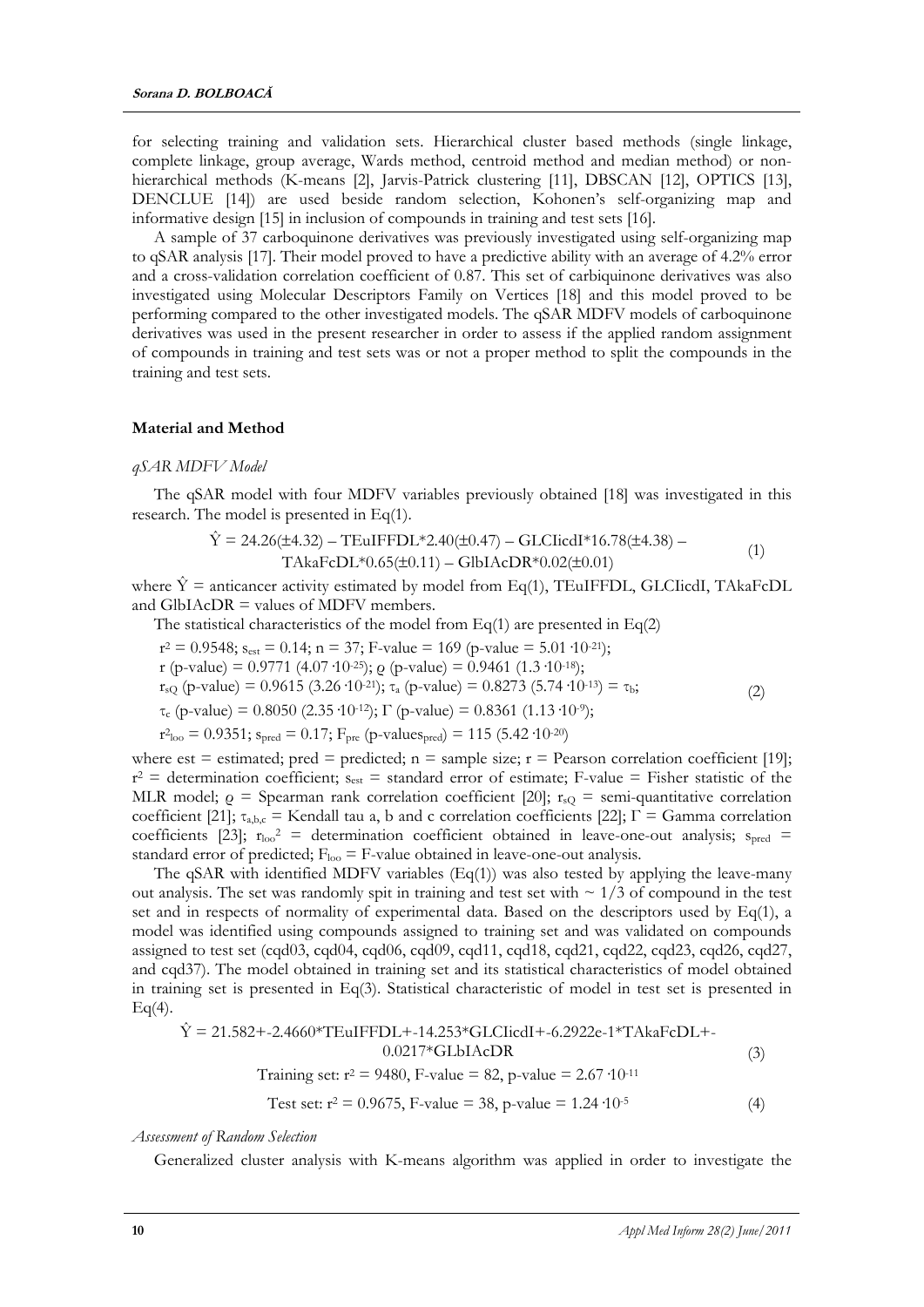for selecting training and validation sets. Hierarchical cluster based methods (single linkage, complete linkage, group average, Wards method, centroid method and median method) or nonhierarchical methods (K-means [2], Jarvis-Patrick clustering [11], DBSCAN [12], OPTICS [13], DENCLUE [14]) are used beside random selection, Kohonen's self-organizing map and informative design [15] in inclusion of compounds in training and test sets [16].

A sample of 37 carboquinone derivatives was previously investigated using self-organizing map to qSAR analysis [17]. Their model proved to have a predictive ability with an average of 4.2% error and a cross-validation correlation coefficient of 0.87. This set of carbiquinone derivatives was also investigated using Molecular Descriptors Family on Vertices [18] and this model proved to be performing compared to the other investigated models. The qSAR MDFV models of carboquinone derivatives was used in the present researcher in order to assess if the applied random assignment of compounds in training and test sets was or not a proper method to split the compounds in the training and test sets.

#### **Material and Method**

#### *qSAR MDFV Model*

The qSAR model with four MDFV variables previously obtained [18] was investigated in this research. The model is presented in Eq(1).

$$
\hat{Y} = 24.26(\pm 4.32) - TEuIFFDL*2.40(\pm 0.47) - GLClicdI*16.78(\pm 4.38) -
$$
  
TAkaFcDL\*0.65(\pm 0.11) - GlbIACDR\*0.02(\pm 0.01) (1)

where  $\hat{Y}$  = anticancer activity estimated by model from Eq(1), TEuIFFDL, GLCIicdI, TAkaFcDL and GlbIAcDR = values of MDFV members.

The statistical characteristics of the model from  $Eq(1)$  are presented in  $Eq(2)$ 

 $r^2 = 0.9548$ ;  $s_{est} = 0.14$ ;  $n = 37$ ; F-value = 169 (p-value = 5.01·10<sup>-21</sup>);

r (p-value) = 0.9771 (4.07·10<sup>-25</sup>); *o* (p-value) = 0.9461 (1.3·10<sup>-18</sup>);

 $r_{sQ}$  (p-value) = 0.9615 (3.26·10<sup>-21</sup>); τ<sub>a</sub> (p-value) = 0.8273 (5.74·10<sup>-13</sup>) = τ<sub>b</sub>;

 $\tau_c$  (p-value) = 0.8050 (2.35 ·10<sup>-12</sup>); Γ (p-value) = 0.8361 (1.13 ·10<sup>-9</sup>);

 $r^2$ <sub>loo</sub> = 0.9351; s<sub>pred</sub> = 0.17; F<sub>pre</sub> (p-values<sub>pred</sub>) = 115 (5.42·10<sup>-20</sup>)

where est = estimated; pred = predicted;  $n =$  sample size;  $r =$  Pearson correlation coefficient [19];  $r^2$  = determination coefficient;  $s_{est}$  = standard error of estimate; F-value = Fisher statistic of the MLR model;  $\rho =$  Spearman rank correlation coefficient [20];  $r_{sQ}$  = semi-quantitative correlation coefficient [21];  $\tau_{a,b,c}$  = Kendall tau a, b and c correlation coefficients [22];  $\Gamma$  = Gamma correlation coefficients [23];  $r_{\text{loo}}^2$  = determination coefficient obtained in leave-one-out analysis;  $s_{\text{pred}}$  = standard error of predicted;  $F_{\text{loo}} = F$ -value obtained in leave-one-out analysis.

The qSAR with identified MDFV variables  $(Eq(1))$  was also tested by applying the leave-many out analysis. The set was randomly spit in training and test set with  $\sim 1/3$  of compound in the test set and in respects of normality of experimental data. Based on the descriptors used by Eq(1), a model was identified using compounds assigned to training set and was validated on compounds assigned to test set (cqd03, cqd04, cqd06, cqd09, cqd11, cqd18, cqd21, cqd22, cqd23, cqd26, cqd27, and cqd37). The model obtained in training set and its statistical characteristics of model obtained in training set is presented in Eq(3). Statistical characteristic of model in test set is presented in  $Eq(4).$ 

$$
\hat{Y} = 21.582 + -2.4660 * TEuIFFDL + -14.253 * GLCIicdl + -6.2922e-1 * TAkaFeDL + -0.0217 * GLDIACDR
$$
\nTraining set:  $r^2 = 9480$ , F-value = 82, p-value = 2.67 · 10<sup>-11</sup>

\n(3)

Test set: 
$$
r^2 = 0.9675
$$
, F-value = 38, p-value = 1.24  $\cdot 10^{-5}$  (4)

*Assessment of Random Selection* 

Generalized cluster analysis with K-means algorithm was applied in order to investigate the

(2)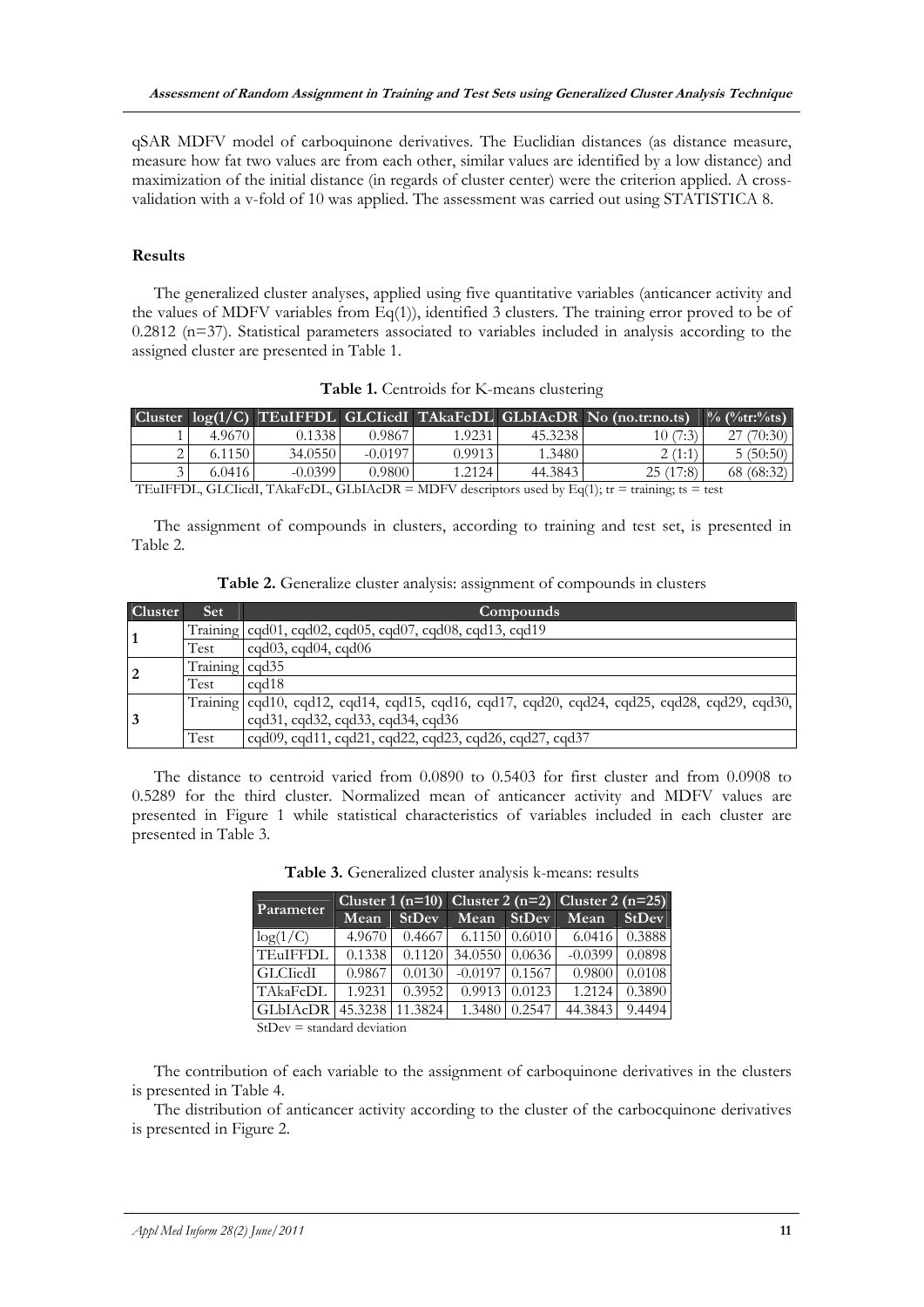qSAR MDFV model of carboquinone derivatives. The Euclidian distances (as distance measure, measure how fat two values are from each other, similar values are identified by a low distance) and maximization of the initial distance (in regards of cluster center) were the criterion applied. A crossvalidation with a v-fold of 10 was applied. The assessment was carried out using STATISTICA 8.

#### **Results**

The generalized cluster analyses, applied using five quantitative variables (anticancer activity and the values of MDFV variables from Eq(1)), identified 3 clusters. The training error proved to be of 0.2812 (n=37). Statistical parameters associated to variables included in analysis according to the assigned cluster are presented in Table 1.

|                                                                                                 |        |           |           |        |         | Cluster $log(1/C)$ TEuIFFDL GLCIicdl TAkaFcDL GLbIAcDR No (no.tr:no.ts) | $\%$ (%tr:%ts) |
|-------------------------------------------------------------------------------------------------|--------|-----------|-----------|--------|---------|-------------------------------------------------------------------------|----------------|
|                                                                                                 | 4.9670 | 0.1338    | 0.9867    | 1.9231 | 45.3238 | 10 (7:3)                                                                | 70:30)         |
|                                                                                                 | 6.1150 | 34.0550   | $-0.0197$ | 0.9913 | 1.3480  | 2(1:1)                                                                  | 5(50:50)       |
|                                                                                                 | 6.0416 | $-0.0399$ | 0.9800    | 1.2124 | 44.3843 | 25(17:8)                                                                | 68 (68:32)     |
| TE HEEDI CICLE TALE DI CILIA DR = MDEV descriptors used by $E_0(1)$ : tre = training: ts = test |        |           |           |        |         |                                                                         |                |

**Table 1.** Centroids for K-means clustering

TEuIFFDL, GLCIicdI, TAkaFcDL, GLbIAcDR = MDFV descriptors used by Eq(1);  $tr = training$ ; ts = test

The assignment of compounds in clusters, according to training and test set, is presented in Table 2.

|  |  | Table 2. Generalize cluster analysis: assignment of compounds in clusters |  |  |
|--|--|---------------------------------------------------------------------------|--|--|
|  |  |                                                                           |  |  |

| Cluster        | <b>Set</b>     | Compounds                                                                                      |
|----------------|----------------|------------------------------------------------------------------------------------------------|
| 1              |                | Training $\log 01$ , cqd02, cqd05, cqd07, cqd08, cqd13, cqd19                                  |
|                | Test           | $c\text{qd}03$ , $c\text{qd}04$ , $c\text{qd}06$                                               |
| $\overline{2}$ | Training cqd35 |                                                                                                |
|                | Test           | $\text{c}$ d $18$                                                                              |
| <sup>3</sup>   |                | Training   cqd10, cqd12, cqd14, cqd15, cqd16, cqd17, cqd20, cqd24, cqd25, cqd28, cqd29, cqd30, |
|                |                | cqd31, cqd32, cqd33, cqd34, cqd36                                                              |
|                | Test           | cqd09, cqd11, cqd21, cqd22, cqd23, cqd26, cqd27, cqd37                                         |

The distance to centroid varied from 0.0890 to 0.5403 for first cluster and from 0.0908 to 0.5289 for the third cluster. Normalized mean of anticancer activity and MDFV values are presented in Figure 1 while statistical characteristics of variables included in each cluster are presented in Table 3.

| Parameter                |        |                       |                         |               | Cluster 1 (n=10) Cluster 2 (n=2) Cluster 2 (n=25) |                 |
|--------------------------|--------|-----------------------|-------------------------|---------------|---------------------------------------------------|-----------------|
|                          | Mean   | StDev                 | Mean StDev              |               | Mean                                              | <b>StDev</b>    |
| log(1/C)                 | 4.9670 |                       | $0.4667$ 6.1150 0.6010  |               |                                                   | $6.0416$ 0.3888 |
| <b>TEuIFFDL</b>          | 0.1338 |                       | $0.1120$ 34.0550 0.0636 |               | $-0.0399$                                         | 0.0898          |
| GLCIcdI                  |        | $0.9867 \quad 0.0130$ | $-0.0197$ 0.1567        |               | 0.9800                                            | 0.0108          |
| TAkaFcDL                 | 1.9231 | 0.3952                | $0.9913 \mid 0.0123$    |               | 1.2124                                            | 0.3890          |
| GLbIAcDR 45.3238 11.3824 |        |                       |                         | 1.3480 0.2547 | 44.3843 9.4494                                    |                 |

**Table 3.** Generalized cluster analysis k-means: results

StDev = standard deviation

The contribution of each variable to the assignment of carboquinone derivatives in the clusters is presented in Table 4.

The distribution of anticancer activity according to the cluster of the carbocquinone derivatives is presented in Figure 2.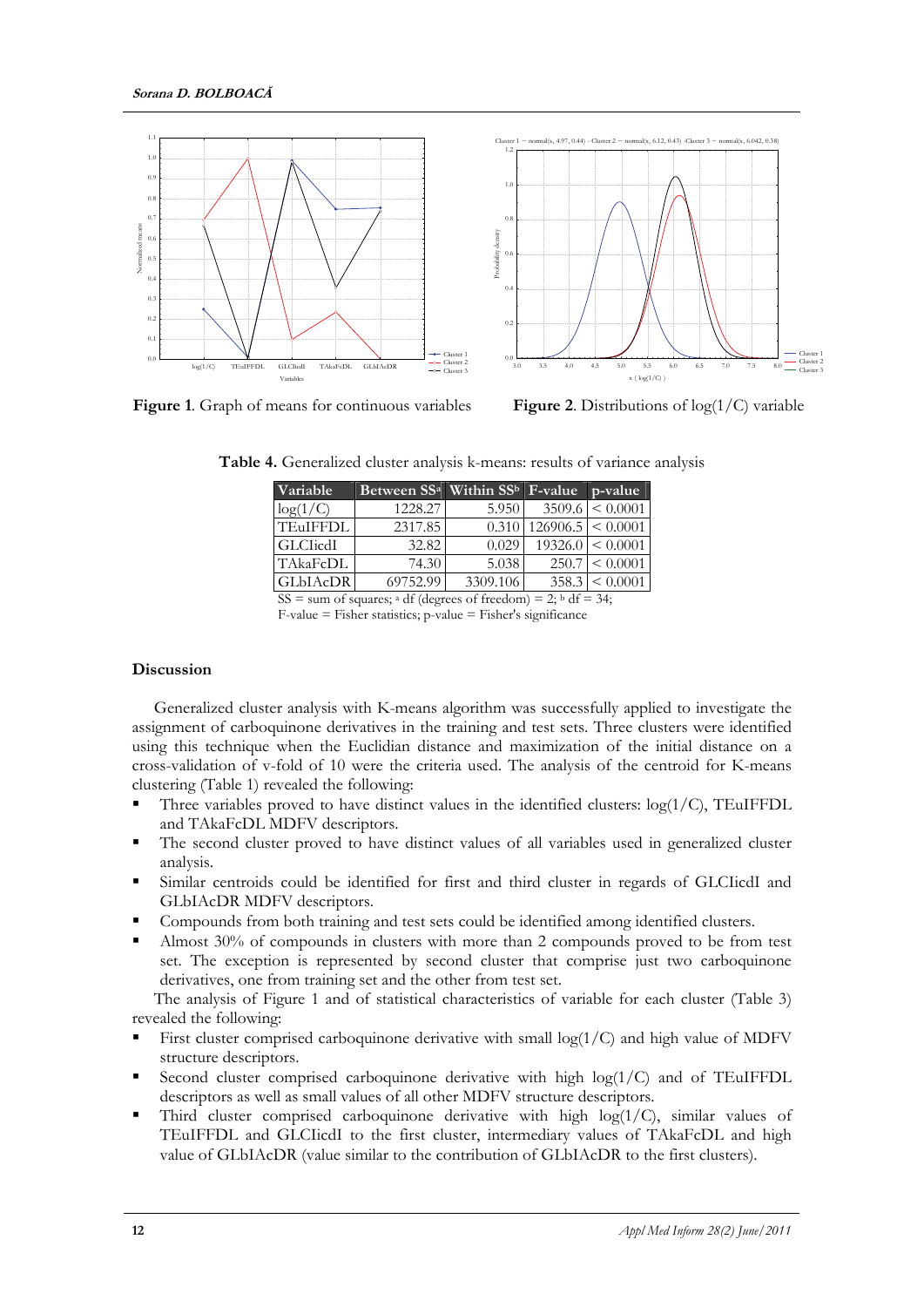

**Figure 1**. Graph of means for continuous variables **Figure 2**. Distributions of log(1/C) variable

**Table 4.** Generalized cluster analysis k-means: results of variance analysis

| Variable                                                                             | Between SS <sup>a</sup> Within SS <sup>b</sup> F-value |          |                                   | p-value               |  |  |
|--------------------------------------------------------------------------------------|--------------------------------------------------------|----------|-----------------------------------|-----------------------|--|--|
| log(1/C)                                                                             | 1228.27                                                | 5.950    |                                   | $3509.6 \leq 0.0001$  |  |  |
| <b>TEuIFFDL</b>                                                                      | 2317.85                                                |          | $0.310 \mid 126906.5 \mid 0.0001$ |                       |  |  |
| <b>GLCIicdI</b>                                                                      | 32.82                                                  | 0.029    |                                   | $19326.0 \leq 0.0001$ |  |  |
| TAkaFcDL                                                                             | 74.30                                                  | 5.038    |                                   | $250.7 \leq 0.0001$   |  |  |
| <b>GLbIAcDR</b>                                                                      | 69752.99                                               | 3309.106 |                                   | $358.3 \leq 0.0001$   |  |  |
| SS = sum of squares; <sup>a</sup> df (degrees of freedom) = 2; <sup>b</sup> df = 34; |                                                        |          |                                   |                       |  |  |

F-value = Fisher statistics; p-value = Fisher's significance

## **Discussion**

Generalized cluster analysis with K-means algorithm was successfully applied to investigate the assignment of carboquinone derivatives in the training and test sets. Three clusters were identified using this technique when the Euclidian distance and maximization of the initial distance on a cross-validation of v-fold of 10 were the criteria used. The analysis of the centroid for K-means clustering (Table 1) revealed the following:

- Three variables proved to have distinct values in the identified clusters:  $log(1/C)$ , TEuIFFDL and TAkaFcDL MDFV descriptors.
- The second cluster proved to have distinct values of all variables used in generalized cluster analysis.
- Similar centroids could be identified for first and third cluster in regards of GLCIicdI and GLbIAcDR MDFV descriptors.
- Compounds from both training and test sets could be identified among identified clusters.
- Almost 30% of compounds in clusters with more than 2 compounds proved to be from test set. The exception is represented by second cluster that comprise just two carboquinone derivatives, one from training set and the other from test set.

The analysis of Figure 1 and of statistical characteristics of variable for each cluster (Table 3) revealed the following:

- First cluster comprised carboquinone derivative with small  $log(1/C)$  and high value of MDFV structure descriptors.
- Second cluster comprised carboquinone derivative with high log(1/C) and of TEuIFFDL descriptors as well as small values of all other MDFV structure descriptors.
- Third cluster comprised carboquinone derivative with high  $log(1/C)$ , similar values of TEuIFFDL and GLCIicdI to the first cluster, intermediary values of TAkaFcDL and high value of GLbIAcDR (value similar to the contribution of GLbIAcDR to the first clusters).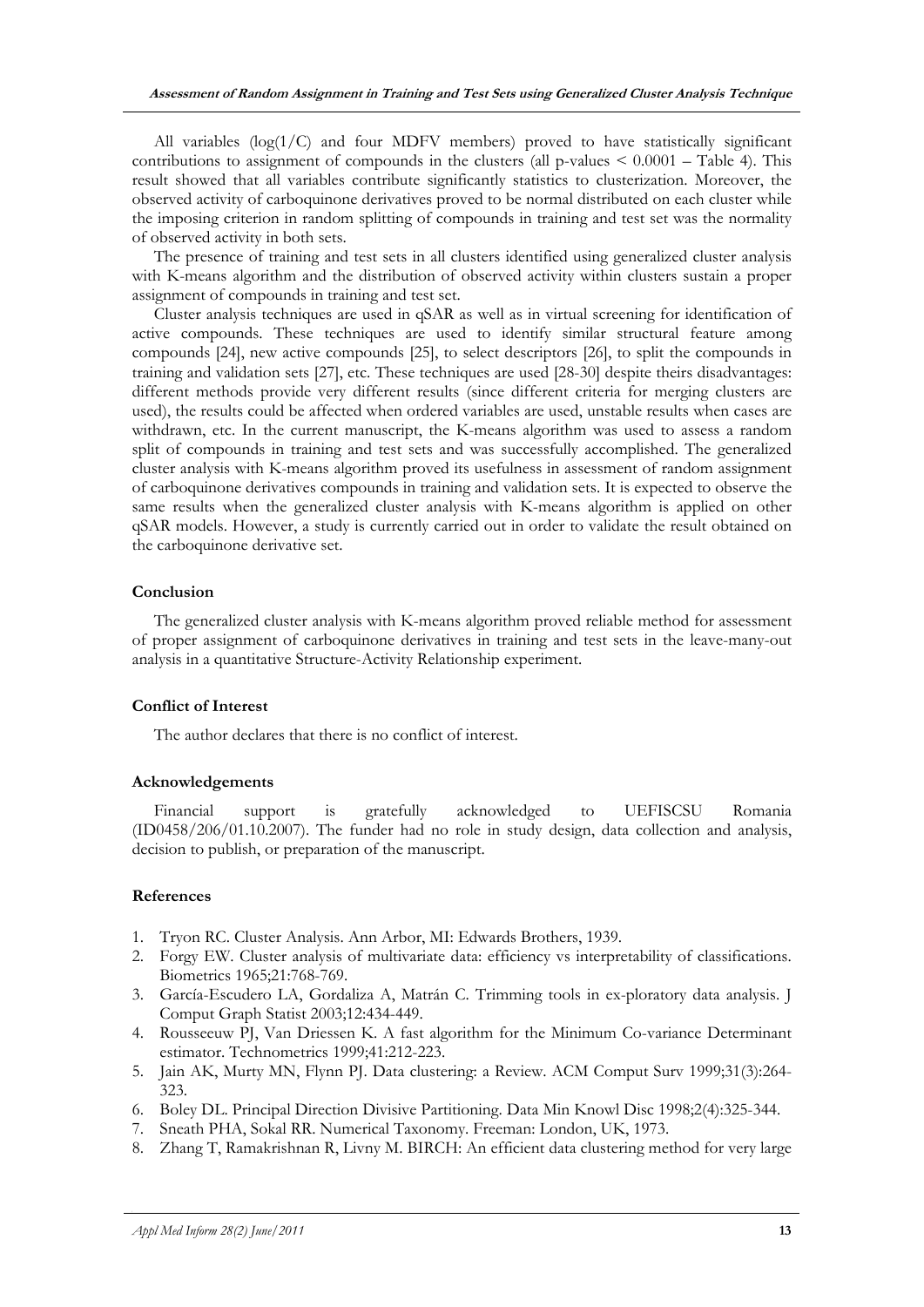All variables (log(1/C) and four MDFV members) proved to have statistically significant contributions to assignment of compounds in the clusters (all  $p$ -values  $\leq 0.0001$  – Table 4). This result showed that all variables contribute significantly statistics to clusterization. Moreover, the observed activity of carboquinone derivatives proved to be normal distributed on each cluster while the imposing criterion in random splitting of compounds in training and test set was the normality of observed activity in both sets.

The presence of training and test sets in all clusters identified using generalized cluster analysis with K-means algorithm and the distribution of observed activity within clusters sustain a proper assignment of compounds in training and test set.

Cluster analysis techniques are used in qSAR as well as in virtual screening for identification of active compounds. These techniques are used to identify similar structural feature among compounds [24], new active compounds [25], to select descriptors [26], to split the compounds in training and validation sets [27], etc. These techniques are used [28-30] despite theirs disadvantages: different methods provide very different results (since different criteria for merging clusters are used), the results could be affected when ordered variables are used, unstable results when cases are withdrawn, etc. In the current manuscript, the K-means algorithm was used to assess a random split of compounds in training and test sets and was successfully accomplished. The generalized cluster analysis with K-means algorithm proved its usefulness in assessment of random assignment of carboquinone derivatives compounds in training and validation sets. It is expected to observe the same results when the generalized cluster analysis with K-means algorithm is applied on other qSAR models. However, a study is currently carried out in order to validate the result obtained on the carboquinone derivative set.

#### **Conclusion**

The generalized cluster analysis with K-means algorithm proved reliable method for assessment of proper assignment of carboquinone derivatives in training and test sets in the leave-many-out analysis in a quantitative Structure-Activity Relationship experiment.

#### **Conflict of Interest**

The author declares that there is no conflict of interest.

#### **Acknowledgements**

Financial support is gratefully acknowledged to UEFISCSU Romania (ID0458/206/01.10.2007). The funder had no role in study design, data collection and analysis, decision to publish, or preparation of the manuscript.

#### **References**

- 1. Tryon RC. Cluster Analysis. Ann Arbor, MI: Edwards Brothers, 1939.
- 2. Forgy EW. Cluster analysis of multivariate data: efficiency vs interpretability of classifications. Biometrics 1965;21:768-769.
- 3. García-Escudero LA, Gordaliza A, Matrán C. Trimming tools in ex-ploratory data analysis. J Comput Graph Statist 2003;12:434-449.
- 4. Rousseeuw PJ, Van Driessen K. A fast algorithm for the Minimum Co-variance Determinant estimator. Technometrics 1999;41:212-223.
- 5. Jain AK, Murty MN, Flynn PJ. Data clustering: a Review. ACM Comput Surv 1999;31(3):264- 323.
- 6. Boley DL. Principal Direction Divisive Partitioning. Data Min Knowl Disc 1998;2(4):325-344.
- 7. Sneath PHA, Sokal RR. Numerical Taxonomy. Freeman: London, UK, 1973.
- 8. Zhang T, Ramakrishnan R, Livny M. BIRCH: An efficient data clustering method for very large